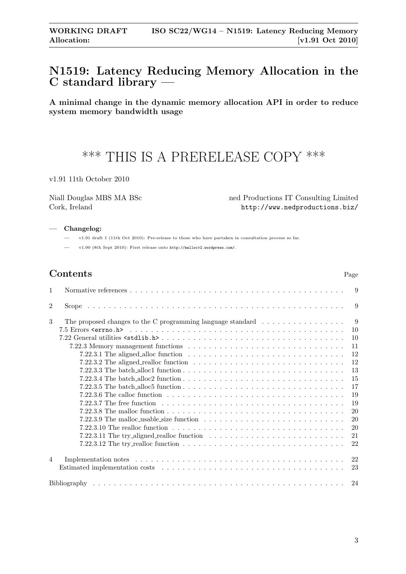## <span id="page-0-0"></span>N1519: Latency Reducing Memory Allocation in the C standard library —

A minimal change in the dynamic memory allocation API in order to reduce system memory bandwidth usage

# \*\*\* THIS IS A PRERELEASE COPY \*\*\*

v1.91 11th October 2010

Niall Douglas MBS MA BSc ned Productions IT Consulting Limited Cork, Ireland <http://www.nedproductions.biz/>

#### — Changelog:

— v1.91 draft 1 (11th Oct 2010): Pre-release to those who have partaken in consultation process so far.

— v1.00 (8th Sept 2010): First release onto <http://mallocv2.wordpress.com/>.

| Contents | Page |
|----------|------|
|----------|------|

| $\mathbf 1$    |                                                                                                                          | 9   |
|----------------|--------------------------------------------------------------------------------------------------------------------------|-----|
| $\overline{2}$ |                                                                                                                          | 9   |
| 3              | The proposed changes to the C programming language standard $\ldots \ldots \ldots \ldots \ldots$                         | - 9 |
|                |                                                                                                                          | 10  |
|                |                                                                                                                          | 10  |
|                |                                                                                                                          | 11  |
|                | 7.22.3.1 The aligned alloc function $\ldots \ldots \ldots \ldots \ldots \ldots \ldots \ldots \ldots \ldots \ldots$       | 12  |
|                | 7.22.3.2 The aligned realloc function $\ldots \ldots \ldots \ldots \ldots \ldots \ldots \ldots \ldots \ldots$            | 12  |
|                |                                                                                                                          | 13  |
|                | 7.22.3.4 The batch alloc2 function $\ldots \ldots \ldots \ldots \ldots \ldots \ldots \ldots \ldots \ldots \ldots \ldots$ | 15  |
|                | 7.22.3.5 The batch alloc5 function $\ldots \ldots \ldots \ldots \ldots \ldots \ldots \ldots \ldots \ldots \ldots$        | 17  |
|                |                                                                                                                          | 19  |
|                |                                                                                                                          | 19  |
|                |                                                                                                                          | 20  |
|                | 7.22.3.9 The malloc_usable_size function $\ldots \ldots \ldots \ldots \ldots \ldots \ldots \ldots \ldots \ldots$         | 20  |
|                | 7.22.3.10 The realloc function $\ldots \ldots \ldots \ldots \ldots \ldots \ldots \ldots \ldots \ldots \ldots$            | 20  |
|                |                                                                                                                          | 21  |
|                | 7.22.3.12 The try realloc function $\ldots \ldots \ldots \ldots \ldots \ldots \ldots \ldots \ldots \ldots$               | 22  |
|                |                                                                                                                          |     |
| $\overline{4}$ |                                                                                                                          | 22  |
|                |                                                                                                                          | 23  |
|                |                                                                                                                          |     |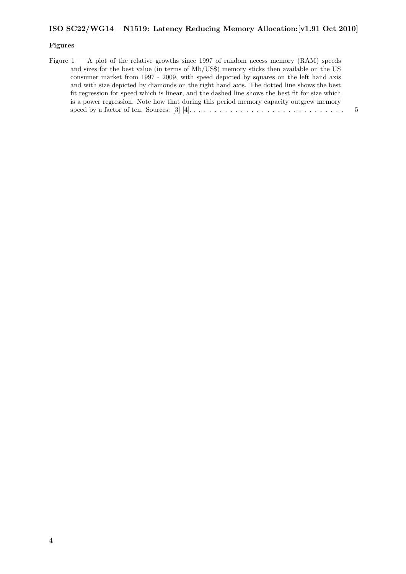## Figures

| Figure $1 - A$ plot of the relative growths since 1997 of random access memory (RAM) speeds     |  |
|-------------------------------------------------------------------------------------------------|--|
| and sizes for the best value (in terms of Mb/US\$) memory sticks then available on the US       |  |
| consumer market from 1997 - 2009, with speed depicted by squares on the left hand axis          |  |
| and with size depicted by diamonds on the right hand axis. The dotted line shows the best       |  |
| fit regression for speed which is linear, and the dashed line shows the best fit for size which |  |
| is a power regression. Note how that during this period memory capacity outgrew memory          |  |
|                                                                                                 |  |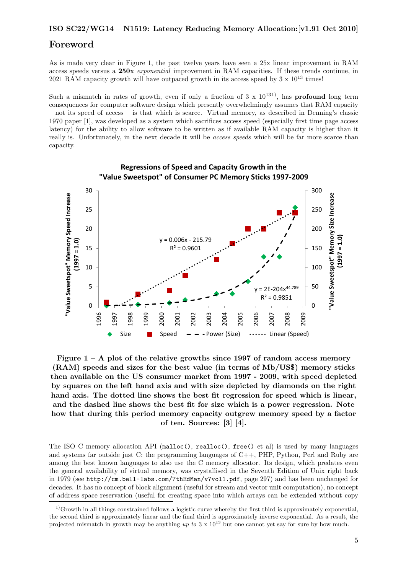## Foreword

As is made very clear in Figure [1,](#page-2-0) the past twelve years have seen a 25x linear improvement in RAM access speeds versus a 250x exponential improvement in RAM capacities. If these trends continue, in 2021 RAM capacity growth will have outpaced growth in its access speed by  $3 \times 10^{13}$  times!

Such a mismatch in rates of growth, even if only a fraction of  $3 \times 10^{131}$ , has **profound** long term consequences for computer software design which presently overwhelmingly assumes that RAM capacity – not its speed of access – is that which is scarce. Virtual memory, as described in Denning's classic 1970 paper [\[1\]](#page-21-3), was developed as a system which sacrifices access speed (especially first time page access latency) for the ability to allow software to be written as if available RAM capacity is higher than it really is. Unfortunately, in the next decade it will be *access speeds* which will be far more scarce than capacity.



<span id="page-2-0"></span>Figure  $1 - A$  plot of the relative growths since 1997 of random access memory (RAM) speeds and sizes for the best value (in terms of Mb/US\$) memory sticks then available on the US consumer market from 1997 - 2009, with speed depicted by squares on the left hand axis and with size depicted by diamonds on the right hand axis. The dotted line shows the best fit regression for speed which is linear, and the dashed line shows the best fit for size which is a power regression. Note how that during this period memory capacity outgrew memory speed by a factor of ten. Sources: [\[3\]](#page-21-1) [\[4\]](#page-21-2).

The ISO C memory allocation API (malloc(), realloc(), free() et al) is used by many languages and systems far outside just C: the programming languages of C++, PHP, Python, Perl and Ruby are among the best known languages to also use the C memory allocator. Its design, which predates even the general availability of virtual memory, was crystallised in the Seventh Edition of Unix right back in 1979 (see <http://cm.bell-labs.com/7thEdMan/v7vol1.pdf>, page 297) and has been unchanged for decades. It has no concept of block alignment (useful for stream and vector unit computation), no concept of address space reservation (useful for creating space into which arrays can be extended without copy

<span id="page-2-1"></span> $1)$ Growth in all things constrained follows a logistic curve whereby the first third is approximately exponential, the second third is approximately linear and the final third is approximately inverse exponential. As a result, the projected mismatch in growth may be anything up to  $3 \times 10^{13}$  but one cannot yet say for sure by how much.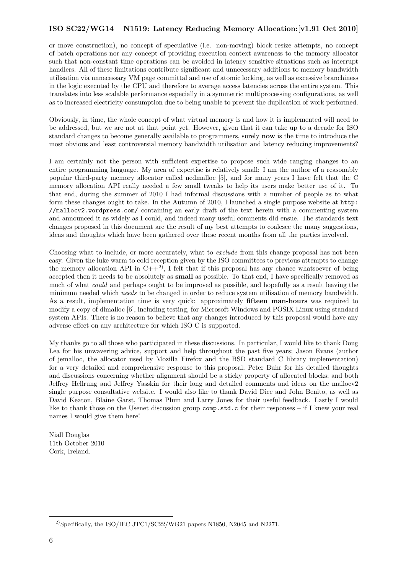or move construction), no concept of speculative (i.e. non-moving) block resize attempts, no concept of batch operations nor any concept of providing execution context awareness to the memory allocator such that non-constant time operations can be avoided in latency sensitive situations such as interrupt handlers. All of these limitations contribute significant and unnecessary additions to memory bandwidth utilisation via unnecessary VM page committal and use of atomic locking, as well as excessive branchiness in the logic executed by the CPU and therefore to average access latencies across the entire system. This translates into less scalable performance especially in a symmetric multiprocessing configurations, as well as to increased electricity consumption due to being unable to prevent the duplication of work performed.

Obviously, in time, the whole concept of what virtual memory is and how it is implemented will need to be addressed, but we are not at that point yet. However, given that it can take up to a decade for ISO standard changes to become generally available to programmers, surely now is the time to introduce the most obvious and least controversial memory bandwidth utilisation and latency reducing improvements?

I am certainly not the person with sufficient expertise to propose such wide ranging changes to an entire programming language. My area of expertise is relatively small: I am the author of a reasonably popular third-party memory allocator called nedmalloc [\[5\]](#page-21-4), and for many years I have felt that the C memory allocation API really needed a few small tweaks to help its users make better use of it. To that end, during the summer of 2010 I had informal discussions with a number of people as to what form these changes ought to take. In the Autumn of 2010, I launched a single purpose website at [http:](http://mallocv2.wordpress.com/) [//mallocv2.wordpress.com/](http://mallocv2.wordpress.com/) containing an early draft of the text herein with a commenting system and announced it as widely as I could, and indeed many useful comments did ensue. The standards text changes proposed in this document are the result of my best attempts to coalesce the many suggestions, ideas and thoughts which have been gathered over these recent months from all the parties involved.

Choosing what to include, or more accurately, what to *exclude* from this change proposal has not been easy. Given the luke warm to cold reception given by the ISO committees to previous attempts to change the memory allocation API in  $C++^2$ , I felt that if this proposal has any chance whatsoever of being accepted then it needs to be absolutely as small as possible. To that end, I have specifically removed as much of what could and perhaps ought to be improved as possible, and hopefully as a result leaving the minimum needed which needs to be changed in order to reduce system utilisation of memory bandwidth. As a result, implementation time is very quick: approximately fifteen man-hours was required to modify a copy of dlmalloc [\[6\]](#page-21-5), including testing, for Microsoft Windows and POSIX Linux using standard system APIs. There is no reason to believe that any changes introduced by this proposal would have any adverse effect on any architecture for which ISO C is supported.

My thanks go to all those who participated in these discussions. In particular, I would like to thank Doug Lea for his unwavering advice, support and help throughout the past five years; Jason Evans (author of jemalloc, the allocator used by Mozilla Firefox and the BSD standard C library implementation) for a very detailed and comprehensive response to this proposal; Peter Buhr for his detailed thoughts and discussions concerning whether alignment should be a sticky property of allocated blocks; and both Jeffrey Hellrung and Jeffrey Yasskin for their long and detailed comments and ideas on the mallocv2 single purpose consultative website. I would also like to thank David Dice and John Benito, as well as David Keaton, Blaine Garst, Thomas Plum and Larry Jones for their useful feedback. Lastly I would like to thank those on the Usenet discussion group comp.std.c for their responses – if I knew your real names I would give them here!

Niall Douglas 11th October 2010 Cork, Ireland.

<span id="page-3-0"></span><sup>&</sup>lt;sup>2)</sup>Specifically, the ISO/IEC JTC1/SC22/WG21 papers N1850, N2045 and N2271.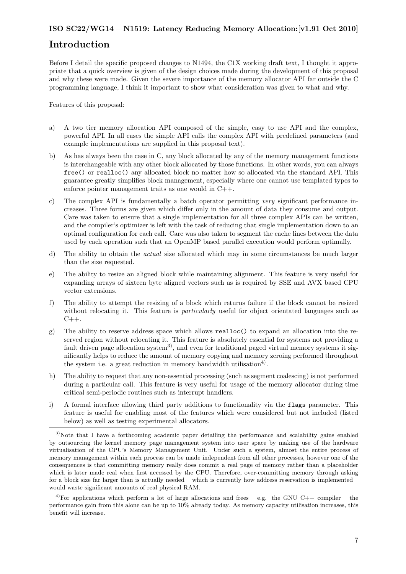## Introduction

Before I detail the specific proposed changes to N1494, the C1X working draft text, I thought it appropriate that a quick overview is given of the design choices made during the development of this proposal and why these were made. Given the severe importance of the memory allocator API far outside the C programming language, I think it important to show what consideration was given to what and why.

Features of this proposal:

- a) A two tier memory allocation API composed of the simple, easy to use API and the complex, powerful API. In all cases the simple API calls the complex API with predefined parameters (and example implementations are supplied in this proposal text).
- b) As has always been the case in C, any block allocated by any of the memory management functions is interchangeable with any other block allocated by those functions. In other words, you can always free() or realloc() any allocated block no matter how so allocated via the standard API. This guarantee greatly simplifies block management, especially where one cannot use templated types to enforce pointer management traits as one would in C++.
- c) The complex API is fundamentally a batch operator permitting very significant performance increases. Three forms are given which differ only in the amount of data they consume and output. Care was taken to ensure that a single implementation for all three complex APIs can be written, and the compiler's optimizer is left with the task of reducing that single implementation down to an optimal configuration for each call. Care was also taken to segment the cache lines between the data used by each operation such that an OpenMP based parallel execution would perform optimally.
- d) The ability to obtain the actual size allocated which may in some circumstances be much larger than the size requested.
- e) The ability to resize an aligned block while maintaining alignment. This feature is very useful for expanding arrays of sixteen byte aligned vectors such as is required by SSE and AVX based CPU vector extensions.
- f) The ability to attempt the resizing of a block which returns failure if the block cannot be resized without relocating it. This feature is *particularly* useful for object orientated languages such as  $C_{++}$ .
- g) The ability to reserve address space which allows realloc() to expand an allocation into the reserved region without relocating it. This feature is absolutely essential for systems not providing a fault driven page allocation system<sup>[3\)](#page-4-0)</sup>, and even for traditional paged virtual memory systems it significantly helps to reduce the amount of memory copying and memory zeroing performed throughout the system i.e. a great reduction in memory bandwidth utilisation<sup>4</sup>.
- h) The ability to request that any non-essential processing (such as segment coalescing) is not performed during a particular call. This feature is very useful for usage of the memory allocator during time critical semi-periodic routines such as interrupt handlers.
- i) A formal interface allowing third party additions to functionality via the flags parameter. This feature is useful for enabling most of the features which were considered but not included (listed below) as well as testing experimental allocators.

<span id="page-4-1"></span><sup>4)</sup>For applications which perform a lot of large allocations and frees – e.g. the GNU C++ compiler – the performance gain from this alone can be up to 10% already today. As memory capacity utilisation increases, this benefit will increase.

<span id="page-4-0"></span><sup>&</sup>lt;sup>3)</sup>Note that I have a forthcoming academic paper detailing the performance and scalability gains enabled by outsourcing the kernel memory page management system into user space by making use of the hardware virtualisation of the CPU's Memory Management Unit. Under such a system, almost the entire process of memory management within each process can be made independent from all other processes, however one of the consequences is that committing memory really does commit a real page of memory rather than a placeholder which is later made real when first accessed by the CPU. Therefore, over-committing memory through asking for a block size far larger than is actually needed – which is currently how address reservation is implemented – would waste significant amounts of real physical RAM.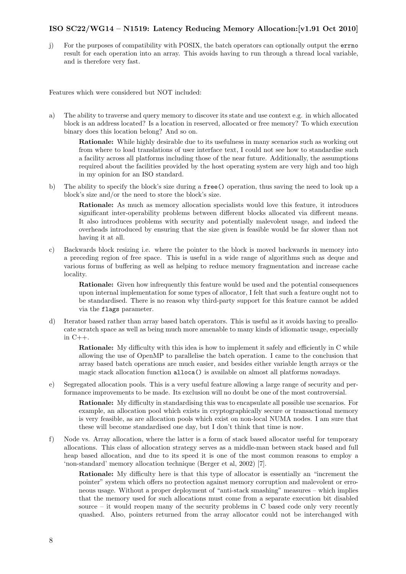j) For the purposes of compatibility with POSIX, the batch operators can optionally output the errno result for each operation into an array. This avoids having to run through a thread local variable, and is therefore very fast.

Features which were considered but NOT included:

a) The ability to traverse and query memory to discover its state and use context e.g. in which allocated block is an address located? Is a location in reserved, allocated or free memory? To which execution binary does this location belong? And so on.

Rationale: While highly desirable due to its usefulness in many scenarios such as working out from where to load translations of user interface text, I could not see how to standardise such a facility across all platforms including those of the near future. Additionally, the assumptions required about the facilities provided by the host operating system are very high and too high in my opinion for an ISO standard.

b) The ability to specify the block's size during a free() operation, thus saving the need to look up a block's size and/or the need to store the block's size.

Rationale: As much as memory allocation specialists would love this feature, it introduces significant inter-operability problems between different blocks allocated via different means. It also introduces problems with security and potentially malevolent usage, and indeed the overheads introduced by ensuring that the size given is feasible would be far slower than not having it at all.

c) Backwards block resizing i.e. where the pointer to the block is moved backwards in memory into a preceding region of free space. This is useful in a wide range of algorithms such as deque and various forms of buffering as well as helping to reduce memory fragmentation and increase cache locality.

Rationale: Given how infrequently this feature would be used and the potential consequences upon internal implementation for some types of allocator, I felt that such a feature ought not to be standardised. There is no reason why third-party support for this feature cannot be added via the flags parameter.

d) Iterator based rather than array based batch operators. This is useful as it avoids having to preallocate scratch space as well as being much more amenable to many kinds of idiomatic usage, especially in  $C_{++}$ .

Rationale: My difficulty with this idea is how to implement it safely and efficiently in C while allowing the use of OpenMP to parallelise the batch operation. I came to the conclusion that array based batch operations are much easier, and besides either variable length arrays or the magic stack allocation function alloca() is available on almost all platforms nowadays.

e) Segregated allocation pools. This is a very useful feature allowing a large range of security and performance improvements to be made. Its exclusion will no doubt be one of the most controversial.

Rationale: My difficulty in standardising this was to encapsulate all possible use scenarios. For example, an allocation pool which exists in cryptographically secure or transactional memory is very feasible, as are allocation pools which exist on non-local NUMA nodes. I am sure that these will become standardised one day, but I don't think that time is now.

f) Node vs. Array allocation, where the latter is a form of stack based allocator useful for temporary allocations. This class of allocation strategy serves as a middle-man between stack based and full heap based allocation, and due to its speed it is one of the most common reasons to employ a 'non-standard' memory allocation technique (Berger et al, 2002) [\[7\]](#page-21-6).

Rationale: My difficulty here is that this type of allocator is essentially an "increment the pointer" system which offers no protection against memory corruption and malevolent or erroneous usage. Without a proper deployment of "anti-stack smashing" measures – which implies that the memory used for such allocations must come from a separate execution bit disabled source – it would reopen many of the security problems in C based code only very recently quashed. Also, pointers returned from the array allocator could not be interchanged with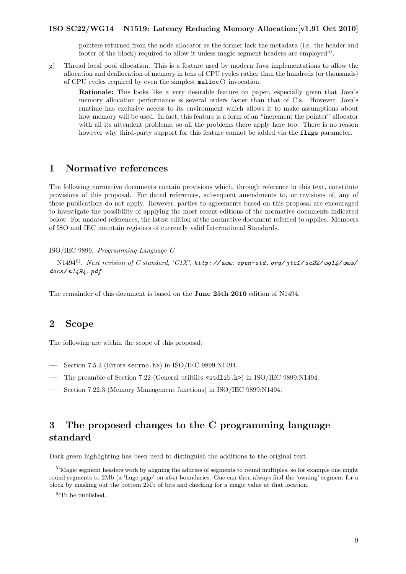pointers returned from the node allocator as the former lack the metadata (i.e. the header and footer of the block) required to allow it unless magic segment headers are employed<sup>[5\)](#page-6-3)</sup>.

- g) Thread local pool allocation. This is a feature used by modern Java implementations to allow the allocation and deallocation of memory in tens of CPU cycles rather than the hundreds (or thousands) of CPU cycles required by even the simplest malloc() invocation.
	- Rationale: This looks like a very desirable feature on paper, especially given that Java's memory allocation performance is several orders faster than that of C's. However, Java's runtime has exclusive access to its environment which allows it to make assumptions about how memory will be used. In fact, this feature is a form of an "increment the pointer" allocator with all its attendent problems, so all the problems there apply here too. There is no reason however why third-party support for this feature cannot be added via the flags parameter.

## <span id="page-6-0"></span>1 Normative references

The following normative documents contain provisions which, through reference in this text, constitute provisions of this proposal. For dated references, subsequent amendments to, or revisions of, any of these publications do not apply. However, parties to agreements based on this proposal are encouraged to investigate the possibility of applying the most recent editions of the normative documents indicated below. For undated references, the latest edition of the normative document referred to applies. Members of ISO and IEC maintain registers of currently valid International Standards.

#### ISO/IEC 9899, Programming Language C

 $\rm N1494^6)$  $\rm N1494^6)$ ,  $Next$   $revision$  of  $C$   $standard,$   $`C1X',$   $http://www.\ open-std.\ org/$   $jtc1/$   $sc22/$   $wg14/$   $www.$ [docs/ n1494. pdf](http://www.open-std.org/jtc1/sc22/wg14/www/docs/n1494.pdf)

<span id="page-6-1"></span>The remainder of this document is based on the June 25th 2010 edition of N1494.

## 2 Scope

The following are within the scope of this proposal:

- Section 7.5.2 (Errors <errno.h>) in ISO/IEC 9899:N1494.
- The preamble of Section 7.22 (General utiltiies <stdlib.h>) in ISO/IEC 9899:N1494.
- Section 7.22.3 (Memory Management functions) in ISO/IEC 9899:N1494.

## <span id="page-6-2"></span>3 The proposed changes to the C programming language standard

Dark green highlighting has been used to distinguish the additions to the original text.

<span id="page-6-3"></span><sup>5)</sup>Magic segment headers work by aligning the address of segments to round multiples, so for example one might round segments to 2Mb (a 'huge page' on x64) boundaries. One can then always find the 'owning' segment for a block by masking out the bottom 2Mb of bits and checking for a magic value at that location.

 ${}^{6)}$ To be published.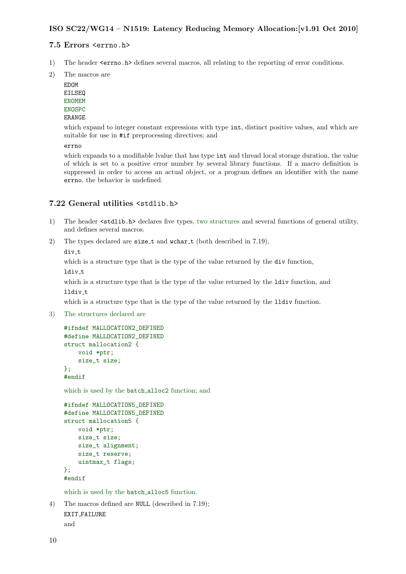## <span id="page-7-0"></span>7.5 Errors <errno.h>

- 1) The header  $\epsilon$ errno.h> defines several macros, all relating to the reporting of error conditions.
- 2) The macros are

EDOM EILSEQ ENOMEM ENOSPC ERANGE

which expand to integer constant expressions with type  $int$ , distinct positive values, and which are suitable for use in #if preprocessing directives; and

errno

which expands to a modifiable lvalue that has type int and thread local storage duration, the value of which is set to a positive error number by several library functions. If a macro definition is suppressed in order to access an actual object, or a program defines an identifier with the name errno, the behavior is undefined.

## <span id="page-7-1"></span>7.22 General utilities <stdlib.h>

- 1) The header <stdlib.h> declares five types, two structures and several functions of general utility, and defines several macros.
- 2) The types declared are size\_t and wchar\_t (both described in 7.19),

div t

which is a structure type that is the type of the value returned by the div function, ldiv\_t

which is a structure type that is the type of the value returned by the ldiv function, and lldiv\_t

which is a structure type that is the type of the value returned by the 11div function.

3) The structures declared are

```
#ifndef MALLOCATION2_DEFINED
#define MALLOCATION2_DEFINED
struct mallocation2 {
    void *ptr;
    size_t size;
};
#endif
```
which is used by the batch alloc2 function; and

```
#ifndef MALLOCATION5_DEFINED
#define MALLOCATION5_DEFINED
struct mallocation5 {
    void *ptr;
    size_t size;
    size_t alignment;
    size_t reserve;
    uintmax_t flags;
};
#endif
```
which is used by the batch\_alloc5 function.

```
4) The macros defined are NULL (described in 7.19);
    EXIT FAILURE
```
and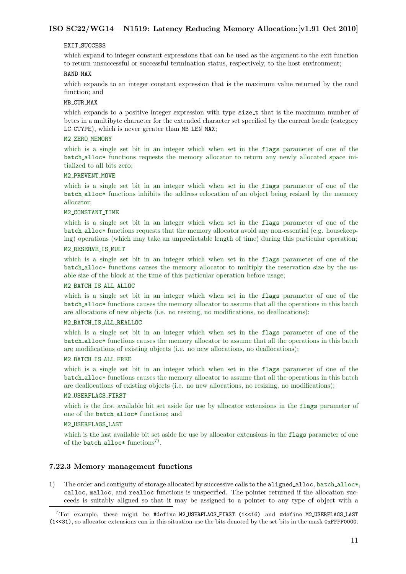#### EXIT\_SUCCESS

which expand to integer constant expressions that can be used as the argument to the exit function to return unsuccessful or successful termination status, respectively, to the host environment;

#### RAND MAX

which expands to an integer constant expression that is the maximum value returned by the rand function; and

#### MB CUR MAX

which expands to a positive integer expression with type size\_t that is the maximum number of bytes in a multibyte character for the extended character set specified by the current locale (category LC CTYPE), which is never greater than MB LEN MAX;

#### M2\_ZERO\_MEMORY

which is a single set bit in an integer which when set in the flags parameter of one of the batch alloc\* functions requests the memory allocator to return any newly allocated space initialized to all bits zero;

#### M2 PREVENT MOVE

which is a single set bit in an integer which when set in the flags parameter of one of the batch alloc\* functions inhibits the address relocation of an object being resized by the memory allocator;

#### M2\_CONSTANT\_TIME

which is a single set bit in an integer which when set in the flags parameter of one of the batch alloc\* functions requests that the memory allocator avoid any non-essential (e.g. housekeeping) operations (which may take an unpredictable length of time) during this particular operation;

## M2 RESERVE IS MULT

which is a single set bit in an integer which when set in the flags parameter of one of the batch alloc\* functions causes the memory allocator to multiply the reservation size by the usable size of the block at the time of this particular operation before usage;

#### M2 BATCH IS ALL ALLOC

which is a single set bit in an integer which when set in the flags parameter of one of the batch alloc\* functions causes the memory allocator to assume that all the operations in this batch are allocations of new objects (i.e. no resizing, no modifications, no deallocations);

#### M2 BATCH IS ALL REALLOC

which is a single set bit in an integer which when set in the flags parameter of one of the batch alloc\* functions causes the memory allocator to assume that all the operations in this batch are modifications of existing objects (i.e. no new allocations, no deallocations);

#### M2 BATCH IS ALL FREE

which is a single set bit in an integer which when set in the flags parameter of one of the batch alloc\* functions causes the memory allocator to assume that all the operations in this batch are deallocations of existing objects (i.e. no new allocations, no resizing, no modifications);

#### M2 USERFLAGS FIRST

which is the first available bit set aside for use by allocator extensions in the flags parameter of one of the batch alloc\* functions; and

#### M2 USERFLAGS LAST

which is the last available bit set aside for use by allocator extensions in the flags parameter of one of the batch\_alloc\* functions<sup>[7\)](#page-8-1)</sup>.

## <span id="page-8-0"></span>7.22.3 Memory management functions

1) The order and contiguity of storage allocated by successive calls to the aligned alloc, batch alloc\*, calloc, malloc, and realloc functions is unspecified. The pointer returned if the allocation succeeds is suitably aligned so that it may be assigned to a pointer to any type of object with a

<span id="page-8-1"></span><sup>7)</sup>For example, these might be #define M2 USERFLAGS FIRST (1<<16) and #define M2 USERFLAGS LAST (1<<31), so allocator extensions can in this situation use the bits denoted by the set bits in the mask 0xFFFF0000.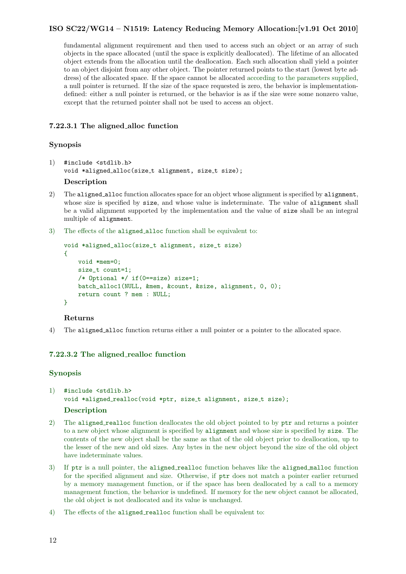fundamental alignment requirement and then used to access such an object or an array of such objects in the space allocated (until the space is explicitly deallocated). The lifetime of an allocated object extends from the allocation until the deallocation. Each such allocation shall yield a pointer to an object disjoint from any other object. The pointer returned points to the start (lowest byte address) of the allocated space. If the space cannot be allocated according to the parameters supplied, a null pointer is returned. If the size of the space requested is zero, the behavior is implementationdefined: either a null pointer is returned, or the behavior is as if the size were some nonzero value, except that the returned pointer shall not be used to access an object.

## <span id="page-9-0"></span>7.22.3.1 The aligned alloc function

## Synopsis

1) #include <stdlib.h> void \*aligned\_alloc(size\_t alignment, size\_t size);

## Description

- 2) The aligned alloc function allocates space for an object whose alignment is specified by alignment, whose size is specified by size, and whose value is indeterminate. The value of alignment shall be a valid alignment supported by the implementation and the value of size shall be an integral multiple of alignment.
- 3) The effects of the aligned alloc function shall be equivalent to:

```
void *aligned_alloc(size_t alignment, size_t size)
{
   void *mem=0;
   size_t count=1;
    /* Optional */ if(0==size) size=1;
   batch_alloc1(NULL, &mem, &count, &size, alignment, 0, 0);
    return count ? mem : NULL;
}
```
## Returns

4) The aligned alloc function returns either a null pointer or a pointer to the allocated space.

## <span id="page-9-1"></span>7.22.3.2 The aligned realloc function

## Synopsis

1) #include <stdlib.h> void \*aligned\_realloc(void \*ptr, size\_t alignment, size\_t size);

## Description

- 2) The aligned realloc function deallocates the old object pointed to by ptr and returns a pointer to a new object whose alignment is specified by alignment and whose size is specified by size. The contents of the new object shall be the same as that of the old object prior to deallocation, up to the lesser of the new and old sizes. Any bytes in the new object beyond the size of the old object have indeterminate values.
- 3) If ptr is a null pointer, the aligned realloc function behaves like the aligned malloc function for the specified alignment and size. Otherwise, if ptr does not match a pointer earlier returned by a memory management function, or if the space has been deallocated by a call to a memory management function, the behavior is undefined. If memory for the new object cannot be allocated, the old object is not deallocated and its value is unchanged.
- 4) The effects of the aligned realloc function shall be equivalent to: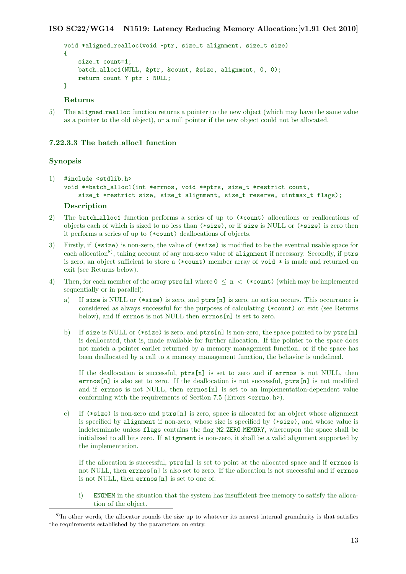```
void *aligned_realloc(void *ptr, size_t alignment, size_t size)
{
    size_t count=1;
   batch_alloc1(NULL, &ptr, &count, &size, alignment, 0, 0);
   return count ? ptr : NULL;
}
```
## Returns

5) The aligned realloc function returns a pointer to the new object (which may have the same value as a pointer to the old object), or a null pointer if the new object could not be allocated.

#### <span id="page-10-0"></span>7.22.3.3 The batch alloc1 function

#### Synopsis

```
1) #include <stdlib.h>
    void **batch_alloc1(int *errnos, void **ptrs, size_t *restrict count,
        size_t *restrict size, size_t alignment, size_t reserve, uintmax_t flags);
    Description
```
- 2) The batch alloc1 function performs a series of up to (\*count) allocations or reallocations of objects each of which is sized to no less than (\*size), or if size is NULL or (\*size) is zero then it performs a series of up to (\*count) deallocations of objects.
- 3) Firstly, if (\*size) is non-zero, the value of (\*size) is modified to be the eventual usable space for each allocation<sup>[8\)](#page-10-1)</sup>, taking account of any non-zero value of alignment if necessary. Secondly, if ptrs is zero, an object sufficient to store a (\*count) member array of void \* is made and returned on exit (see Returns below).
- 4) Then, for each member of the array ptrs [n] where  $0 \le n \le$  (\*count) (which may be implemented sequentially or in parallel):
	- a) If size is NULL or (\*size) is zero, and ptrs[n] is zero, no action occurs. This occurrance is considered as always successful for the purposes of calculating (\*count) on exit (see Returns below), and if errnos is not NULL then errnos[n] is set to zero.
	- b) If size is NULL or (\*size) is zero, and ptrs[n] is non-zero, the space pointed to by ptrs[n] is deallocated, that is, made available for further allocation. If the pointer to the space does not match a pointer earlier returned by a memory management function, or if the space has been deallocated by a call to a memory management function, the behavior is undefined.

If the deallocation is successful,  $ptrs[n]$  is set to zero and if errnos is not NULL, then errnos[n] is also set to zero. If the deallocation is not successful, ptrs[n] is not modified and if errnos is not NULL, then errnos[n] is set to an implementation-dependent value conforming with the requirements of Section 7.5 (Errors <errno.h>).

c) If  $(*size)$  is non-zero and ptrs[n] is zero, space is allocated for an object whose alignment is specified by alignment if non-zero, whose size is specified by (\*size), and whose value is indeterminate unless flags contains the flag M2 ZERO MEMORY, whereupon the space shall be initialized to all bits zero. If alignment is non-zero, it shall be a valid alignment supported by the implementation.

If the allocation is successful, ptrs[n] is set to point at the allocated space and if errnos is not NULL, then errnos [n] is also set to zero. If the allocation is not successful and if errnos is not NULL, then errnos[n] is set to one of:

i) ENOMEM in the situation that the system has insufficient free memory to satisfy the allocation of the object.

<span id="page-10-1"></span><sup>8)</sup>In other words, the allocator rounds the size up to whatever its nearest internal granularity is that satisfies the requirements established by the parameters on entry.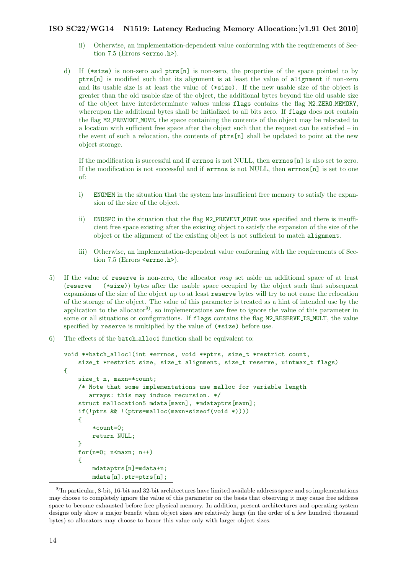- ii) Otherwise, an implementation-dependent value conforming with the requirements of Section 7.5 (Errors <errno.h>).
- d) If (\*size) is non-zero and ptrs[n] is non-zero, the properties of the space pointed to by ptrs[n] is modified such that its alignment is at least the value of alignment if non-zero and its usable size is at least the value of (\*size). If the new usable size of the object is greater than the old usable size of the object, the additional bytes beyond the old usable size of the object have interdeterminate values unless flags contains the flag M2 ZERO MEMORY, whereupon the additional bytes shall be initialized to all bits zero. If flags does not contain the flag M2 PREVENT MOVE, the space containing the contents of the object may be relocated to a location with sufficient free space after the object such that the request can be satisfied – in the event of such a relocation, the contents of ptrs[n] shall be updated to point at the new object storage.

If the modification is successful and if errnos is not NULL, then errnos[n] is also set to zero. If the modification is not successful and if errnos is not NULL, then errnos[n] is set to one of:

- i) ENOMEM in the situation that the system has insufficient free memory to satisfy the expansion of the size of the object.
- ii) ENOSPC in the situation that the flag M2 PREVENT MOVE was specified and there is insufficient free space existing after the existing object to satisfy the expansion of the size of the object or the alignment of the existing object is not sufficient to match alignment.
- iii) Otherwise, an implementation-dependent value conforming with the requirements of Section 7.5 (Errors <errno.h>).
- 5) If the value of reserve is non-zero, the allocator may set aside an additional space of at least (reserve − (\*size)) bytes after the usable space occupied by the object such that subsequent expansions of the size of the object up to at least reserve bytes will try to not cause the relocation of the storage of the object. The value of this parameter is treated as a hint of intended use by the application to the allocator<sup>[9\)](#page-11-0)</sup>, so implementations are free to ignore the value of this parameter in some or all situations or configurations. If flags contains the flag M2 RESERVE IS MULT, the value specified by reserve is multiplied by the value of (\*size) before use.
- 6) The effects of the batch alloc1 function shall be equivalent to:

```
void **batch_alloc1(int *errnos, void **ptrs, size_t *restrict count,
    size_t *restrict size, size_t alignment, size_t reserve, uintmax_t flags)
{
    size t n, maxn=*count;
    /* Note that some implementations use malloc for variable length
       arrays: this may induce recursion. */
    struct mallocation5 mdata[maxn], *mdataptrs[maxn];
    if(!ptrs && !(ptrs=malloc(maxn*sizeof(void *))))
    {
        *count=0;
        return NULL;
    }
   for(n=0; n<maxn; n++)
    {
        mdataptrs[n]=mdata+n;
        mdata[n].ptr=ptrs[n];
```
<span id="page-11-0"></span> $9$ In particular, 8-bit, 16-bit and 32-bit architectures have limited available address space and so implementations may choose to completely ignore the value of this parameter on the basis that observing it may cause free address space to become exhausted before free physical memory. In addition, present architectures and operating system designs only show a major benefit when object sizes are relatively large (in the order of a few hundred thousand bytes) so allocators may choose to honor this value only with larger object sizes.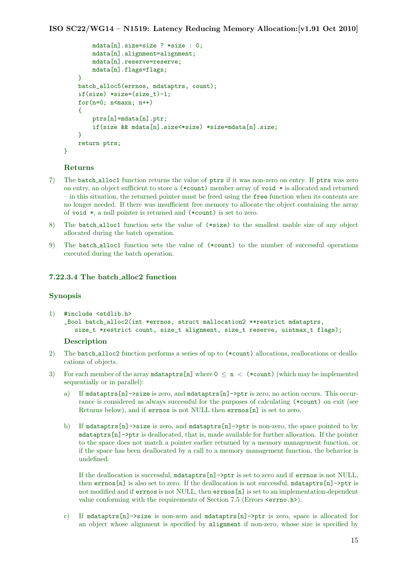```
mdata[n].size=size ? *size : 0;
    mdata[n].alignment=alignment;
    mdata[n].reserve=reserve;
    mdata[n].flags=flags;
}
batch_alloc5(errnos, mdataptrs, count);
if(size) *size=(size_t)-1;
for(n=0; n<sub>maxn</sub>; n++){
    ptrs[n]=mdata[n].ptr;
    if(size && mdata[n].size<*size) *size=mdata[n].size;
}
return ptrs;
```
#### Returns

}

- 7) The batch alloc1 function returns the value of ptrs if it was non-zero on entry. If ptrs was zero on entry, an object sufficient to store a (\*count) member array of void \* is allocated and returned – in this situation, the returned pointer must be freed using the free function when its contents are no longer needed. If there was insufficient free memory to allocate the object containing the array of void \*, a null pointer is returned and (\*count) is set to zero.
- 8) The batch alloc1 function sets the value of (\*size) to the smallest usable size of any object allocated during the batch operation.
- 9) The batch alloc1 function sets the value of (\*count) to the number of successful operations executed during the batch operation.

#### <span id="page-12-0"></span>7.22.3.4 The batch alloc2 function

#### Synopsis

1) #include <stdlib.h> \_Bool batch\_alloc2(int \*errnos, struct mallocation2 \*\*restrict mdataptrs, size\_t \*restrict count, size\_t alignment, size\_t reserve, uintmax\_t flags);

#### **Description**

- 2) The batch alloc2 function performs a series of up to (\*count) allocations, reallocations or deallocations of objects.
- 3) For each member of the array mdataptrs [n] where  $0 \le n \le$  (\*count) (which may be implemented sequentially or in parallel):
	- a) If mdataptrs[n]->size is zero, and mdataptrs[n]->ptr is zero, no action occurs. This occurrance is considered as always successful for the purposes of calculating (\*count) on exit (see Returns below), and if errnos is not NULL then errnos[n] is set to zero.
	- b) If mdataptrs[n]->size is zero, and mdataptrs[n]->ptr is non-zero, the space pointed to by mdataptrs[n]->ptr is deallocated, that is, made available for further allocation. If the pointer to the space does not match a pointer earlier returned by a memory management function, or if the space has been deallocated by a call to a memory management function, the behavior is undefined.

If the deallocation is successful, mdataptrs[n]->ptr is set to zero and if errnos is not NULL, then errnos[n] is also set to zero. If the deallocation is not successful, mdataptrs[n]->ptr is not modified and if errnos is not NULL, then errnos[n] is set to an implementation-dependent value conforming with the requirements of Section 7.5 (Errors  $\langle \text{errn} \cdot \text{h} \rangle$ ).

c) If mdataptrs $[n]$ ->size is non-zero and mdataptrs $[n]$ ->ptr is zero, space is allocated for an object whose alignment is specified by alignment if non-zero, whose size is specified by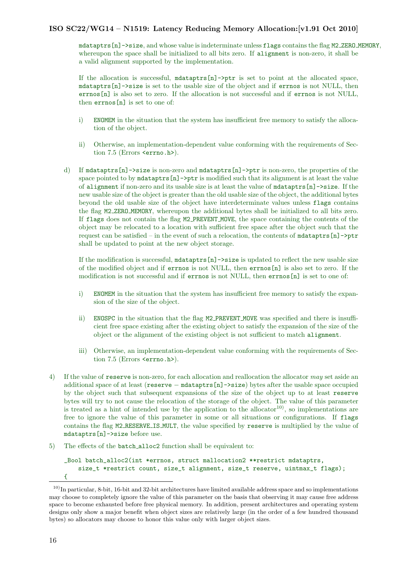mdataptrs[n]->size, and whose value is indeterminate unless flags contains the flag M2 ZERO MEMORY, whereupon the space shall be initialized to all bits zero. If alignment is non-zero, it shall be a valid alignment supported by the implementation.

If the allocation is successful, mdataptrs[n]->ptr is set to point at the allocated space, mdataptrs[n]->size is set to the usable size of the object and if errnos is not NULL, then errnos[n] is also set to zero. If the allocation is not successful and if errnos is not NULL, then errnos[n] is set to one of:

- i) ENOMEM in the situation that the system has insufficient free memory to satisfy the allocation of the object.
- ii) Otherwise, an implementation-dependent value conforming with the requirements of Section 7.5 (Errors <errno.h>).
- d) If mdataptrs  $[n]$ ->size is non-zero and mdataptrs  $[n]$ ->ptr is non-zero, the properties of the space pointed to by  $m\text{dataptrs}[n]$ - $\text{ptr}$  is modified such that its alignment is at least the value of alignment if non-zero and its usable size is at least the value of mdataptrs[n]->size. If the new usable size of the object is greater than the old usable size of the object, the additional bytes beyond the old usable size of the object have interdeterminate values unless flags contains the flag M2 ZERO MEMORY, whereupon the additional bytes shall be initialized to all bits zero. If flags does not contain the flag M2 PREVENT MOVE, the space containing the contents of the object may be relocated to a location with sufficient free space after the object such that the request can be satisfied – in the event of such a relocation, the contents of mdataptrs  $[n]$ ->ptr shall be updated to point at the new object storage.

If the modification is successful,  $m\text{dataptrs}[n]$ ->size is updated to reflect the new usable size of the modified object and if errnos is not NULL, then errnos[n] is also set to zero. If the modification is not successful and if errnos is not NULL, then errnos[n] is set to one of:

- i) ENOMEM in the situation that the system has insufficient free memory to satisfy the expansion of the size of the object.
- ii) ENOSPC in the situation that the flag M2 PREVENT MOVE was specified and there is insufficient free space existing after the existing object to satisfy the expansion of the size of the object or the alignment of the existing object is not sufficient to match alignment.
- iii) Otherwise, an implementation-dependent value conforming with the requirements of Section 7.5 (Errors <errno.h>).
- 4) If the value of reserve is non-zero, for each allocation and reallocation the allocator may set aside an additional space of at least (reserve − mdataptrs[n]->size) bytes after the usable space occupied by the object such that subsequent expansions of the size of the object up to at least reserve bytes will try to not cause the relocation of the storage of the object. The value of this parameter is treated as a hint of intended use by the application to the allocator<sup>[10\)](#page-13-0)</sup>, so implementations are free to ignore the value of this parameter in some or all situations or configurations. If flags contains the flag M2 RESERVE IS MULT, the value specified by reserve is multiplied by the value of mdataptrs[n]->size before use.
- 5) The effects of the batch alloc2 function shall be equivalent to:

```
_Bool batch_alloc2(int *errnos, struct mallocation2 **restrict mdataptrs,
    size_t *restrict count, size_t alignment, size_t reserve, uintmax_t flags);
{
```
<span id="page-13-0"></span> $10)$ In particular, 8-bit, 16-bit and 32-bit architectures have limited available address space and so implementations may choose to completely ignore the value of this parameter on the basis that observing it may cause free address space to become exhausted before free physical memory. In addition, present architectures and operating system designs only show a major benefit when object sizes are relatively large (in the order of a few hundred thousand bytes) so allocators may choose to honor this value only with larger object sizes.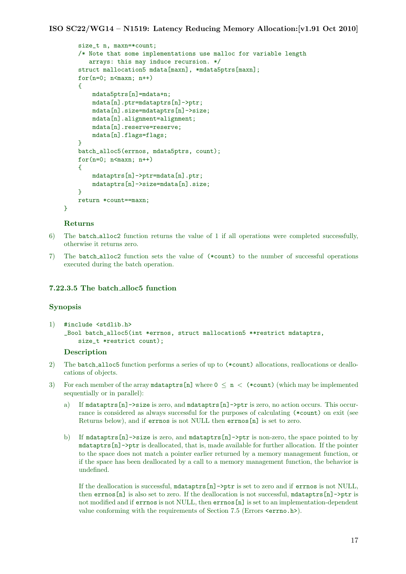```
size_t n, maxn=*count;
/* Note that some implementations use malloc for variable length
   arrays: this may induce recursion. */
struct mallocation5 mdata[maxn], *mdata5ptrs[maxn];
for(n=0; n<maxn; n++)
{
    mdata5ptrs[n]=mdata+n;
    mdata[n].ptr=mdataptrs[n]->ptr;
    mdata[n].size=mdataptrs[n]->size;
    mdata[n].alignment=alignment;
    mdata[n].reserve=reserve;
    mdata[n].flags=flags;
}
batch_alloc5(errnos, mdata5ptrs, count);
for(n=0; n<maxn; n++)
{
    mdataptrs[n]->ptr=mdata[n].ptr;
    mdataptrs[n]->size=mdata[n].size;
\mathbf{r}return *count==maxn;
```
#### Returns

}

- 6) The batch alloc2 function returns the value of 1 if all operations were completed successfully, otherwise it returns zero.
- 7) The batch alloc2 function sets the value of (\*count) to the number of successful operations executed during the batch operation.

## <span id="page-14-0"></span>7.22.3.5 The batch alloc5 function

#### Synopsis

1) #include <stdlib.h> \_Bool batch\_alloc5(int \*errnos, struct mallocation5 \*\*restrict mdataptrs, size\_t \*restrict count);

#### **Description**

- 2) The batch alloc5 function performs a series of up to (\*count) allocations, reallocations or deallocations of objects.
- 3) For each member of the array mdataptrs [n] where  $0 \le n \le$  (\*count) (which may be implemented sequentially or in parallel):
	- a) If mdataptrs[n]->size is zero, and mdataptrs[n]->ptr is zero, no action occurs. This occurrance is considered as always successful for the purposes of calculating (\*count) on exit (see Returns below), and if errnos is not NULL then errnos[n] is set to zero.
	- b) If mdataptrs[n]->size is zero, and mdataptrs[n]->ptr is non-zero, the space pointed to by mdataptrs[n]->ptr is deallocated, that is, made available for further allocation. If the pointer to the space does not match a pointer earlier returned by a memory management function, or if the space has been deallocated by a call to a memory management function, the behavior is undefined.

If the deallocation is successful, mdataptrs[n]->ptr is set to zero and if errnos is not NULL, then errnos[n] is also set to zero. If the deallocation is not successful, mdataptrs[n]->ptr is not modified and if errnos is not NULL, then errnos [n] is set to an implementation-dependent value conforming with the requirements of Section 7.5 (Errors  $\langle \text{errn} \cdot \text{h} \rangle$ ).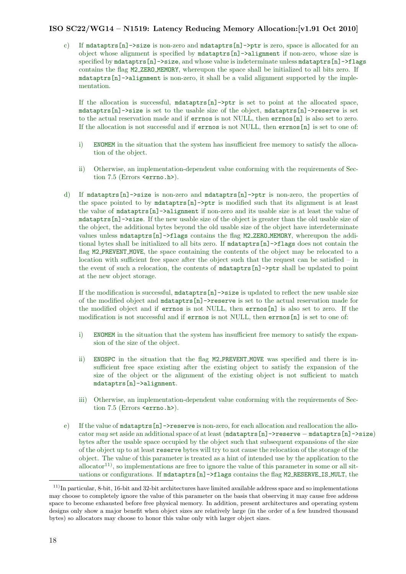c) If mdataptrs[n]->size is non-zero and mdataptrs[n]->ptr is zero, space is allocated for an object whose alignment is specified by mdataptrs[n]->alignment if non-zero, whose size is specified by  $m\text{d}ataptrs[n]-\text{size}$ , and whose value is indeterminate unless  $m\text{d}ataptrs[n]-\text{flags}$ contains the flag M2 ZERO MEMORY, whereupon the space shall be initialized to all bits zero. If mdataptrs[n]->alignment is non-zero, it shall be a valid alignment supported by the implementation.

If the allocation is successful, mdataptrs[n]->ptr is set to point at the allocated space, mdataptrs[n]->size is set to the usable size of the object, mdataptrs[n]->reserve is set to the actual reservation made and if errnos is not NULL, then errnos[n] is also set to zero. If the allocation is not successful and if errnos is not NULL, then errnos[n] is set to one of:

- i) ENOMEM in the situation that the system has insufficient free memory to satisfy the allocation of the object.
- ii) Otherwise, an implementation-dependent value conforming with the requirements of Section 7.5 (Errors <errno.h>).
- d) If mdataptrs[n]->size is non-zero and mdataptrs[n]->ptr is non-zero, the properties of the space pointed to by mdataptrs[n]->ptr is modified such that its alignment is at least the value of mdataptrs[n]->alignment if non-zero and its usable size is at least the value of mdataptrs[n]->size. If the new usable size of the object is greater than the old usable size of the object, the additional bytes beyond the old usable size of the object have interdeterminate values unless mdataptrs[n]->flags contains the flag M2 ZERO MEMORY, whereupon the additional bytes shall be initialized to all bits zero. If mdataptrs[n]->flags does not contain the flag M2 PREVENT MOVE, the space containing the contents of the object may be relocated to a location with sufficient free space after the object such that the request can be satisfied – in the event of such a relocation, the contents of mdataptrs[n]->ptr shall be updated to point at the new object storage.

If the modification is successful, mdataptrs[n]->size is updated to reflect the new usable size of the modified object and  $m\text{d}$   $\text{d}$   $\text{d}$   $\text{d}$   $\text{d}$   $\text{d}$   $\text{d}$   $\text{d}$   $\text{d}$   $\text{d}$   $\text{d}$   $\text{d}$   $\text{d}$   $\text{d}$   $\text{d}$   $\text{d}$   $\text{d}$   $\text{d}$   $\text{d}$   $\text{d}$   $\text{d}$   $\text{d}$   $\text{d}$   $\text{d}$  the modified object and if errnos is not NULL, then errnos[n] is also set to zero. If the modification is not successful and if errnos is not NULL, then errnos[n] is set to one of:

- i) ENOMEM in the situation that the system has insufficient free memory to satisfy the expansion of the size of the object.
- ii) ENOSPC in the situation that the flag M2 PREVENT MOVE was specified and there is insufficient free space existing after the existing object to satisfy the expansion of the size of the object or the alignment of the existing object is not sufficient to match mdataptrs[n]->alignment.
- iii) Otherwise, an implementation-dependent value conforming with the requirements of Section 7.5 (Errors <errno.h>).
- e) If the value of mdataptrs[n]->reserve is non-zero, for each allocation and reallocation the allocator may set aside an additional space of at least (mdataptrs[n]->reserve − mdataptrs[n]->size) bytes after the usable space occupied by the object such that subsequent expansions of the size of the object up to at least reserve bytes will try to not cause the relocation of the storage of the object. The value of this parameter is treated as a hint of intended use by the application to the allocator<sup>[11\)](#page-15-0)</sup>, so implementations are free to ignore the value of this parameter in some or all situations or configurations. If  $m\text{d}ataptrs[n]-\text{Hags}$  contains the flag M2 RESERVE IS MULT, the

<span id="page-15-0"></span> $11$ <sup>11</sup>)In particular, 8-bit, 16-bit and 32-bit architectures have limited available address space and so implementations may choose to completely ignore the value of this parameter on the basis that observing it may cause free address space to become exhausted before free physical memory. In addition, present architectures and operating system designs only show a major benefit when object sizes are relatively large (in the order of a few hundred thousand bytes) so allocators may choose to honor this value only with larger object sizes.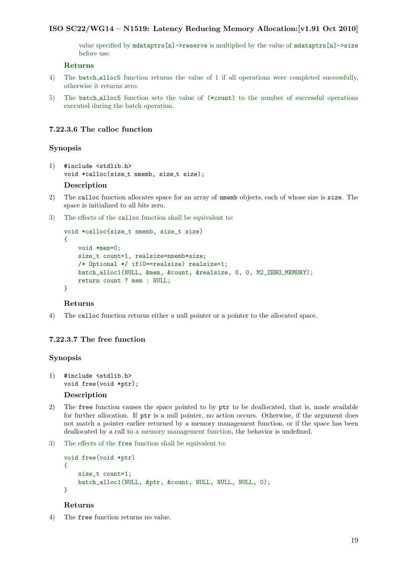value specified by mdataptrs[n]->reserve is multiplied by the value of mdataptrs[n]->size before use.

## Returns

- 4) The batch alloc5 function returns the value of 1 if all operations were completed successfully, otherwise it returns zero.
- 5) The batch alloc5 function sets the value of (\*count) to the number of successful operations executed during the batch operation.

#### <span id="page-16-0"></span>7.22.3.6 The calloc function

#### Synopsis

- 1) #include <stdlib.h> void \*calloc(size\_t nmemb, size\_t size); Description
- 2) The calloc function allocates space for an array of nmemb objects, each of whose size is size. The space is initialized to all bits zero.
- 3) The effects of the calloc function shall be equivalent to:

```
void *calloc{size_t nmemb, size_t size)
{
   void *mem=0;
    size_t count=1, realsize=nmemb*size;
   /* Optional */ if(0==realsize) realsize=1;
   batch_alloc1(NULL, &mem, &count, &realsize, 0, 0, M2_ZERO_MEMORY);
   return count ? mem : NULL;
}
```
#### Returns

4) The calloc function returns either a null pointer or a pointer to the allocated space.

## <span id="page-16-1"></span>7.22.3.7 The free function

## Synopsis

- 1) #include <stdlib.h> void free(void \*ptr); Description
- 2) The free function causes the space pointed to by ptr to be deallocated, that is, made available for further allocation. If ptr is a null pointer, no action occurs. Otherwise, if the argument does not match a pointer earlier returned by a memory management function, or if the space has been deallocated by a call to a memory management function, the behavior is undefined.
- 3) The effects of the free function shall be equivalent to:

```
void free(void *ptr)
{
    size_t count=1;
    batch_alloc1(NULL, &ptr, &count, NULL, NULL, NULL, 0);
}
```
#### Returns

4) The free function returns no value.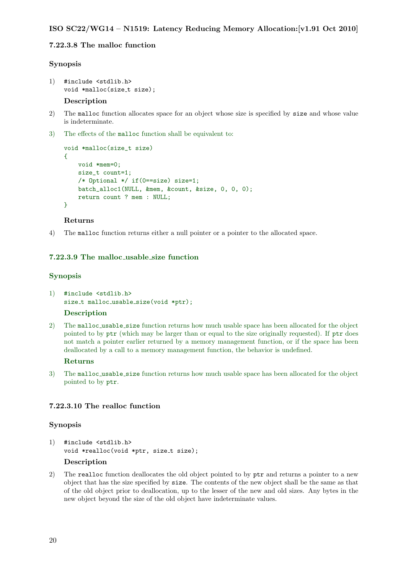## <span id="page-17-0"></span>7.22.3.8 The malloc function

## Synopsis

```
1) #include <stdlib.h>
    void *malloc(size_t size);
```
#### Description

- 2) The malloc function allocates space for an object whose size is specified by size and whose value is indeterminate.
- 3) The effects of the malloc function shall be equivalent to:

```
void *malloc(size_t size)
{
   void *mem=0;
   size_t count=1;
   /* Optional */ if(0==size) size=1;
   batch_alloc1(NULL, &mem, &count, &size, 0, 0, 0);
   return count ? mem : NULL;
}
```
## Returns

4) The malloc function returns either a null pointer or a pointer to the allocated space.

## <span id="page-17-1"></span>7.22.3.9 The malloc usable size function

## Synopsis

1) #include <stdlib.h> size\_t malloc\_usable\_size(void \*ptr);

## Description

2) The malloc usable size function returns how much usable space has been allocated for the object pointed to by ptr (which may be larger than or equal to the size originally requested). If ptr does not match a pointer earlier returned by a memory management function, or if the space has been deallocated by a call to a memory management function, the behavior is undefined.

#### Returns

3) The malloc usable size function returns how much usable space has been allocated for the object pointed to by ptr.

## <span id="page-17-2"></span>7.22.3.10 The realloc function

#### Synopsis

1) #include <stdlib.h> void \*realloc(void \*ptr, size\_t size);

## Description

2) The realloc function deallocates the old object pointed to by ptr and returns a pointer to a new object that has the size specified by size. The contents of the new object shall be the same as that of the old object prior to deallocation, up to the lesser of the new and old sizes. Any bytes in the new object beyond the size of the old object have indeterminate values.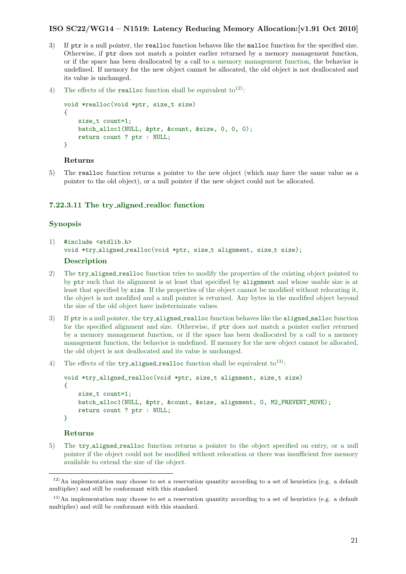- 3) If ptr is a null pointer, the realloc function behaves like the malloc function for the specified size. Otherwise, if ptr does not match a pointer earlier returned by a memory management function, or if the space has been deallocated by a call to a memory management function, the behavior is undefined. If memory for the new object cannot be allocated, the old object is not deallocated and its value is unchanged.
- 4) The effects of the **realloc** function shall be equivalent to<sup>[12\)](#page-18-1)</sup>:

```
void *realloc(void *ptr, size_t size)
{
   size t count=1;
   batch_alloc1(NULL, &ptr, &count, &size, 0, 0, 0);
   return count ? ptr : NULL;
}
```
#### Returns

5) The realloc function returns a pointer to the new object (which may have the same value as a pointer to the old object), or a null pointer if the new object could not be allocated.

## <span id="page-18-0"></span>7.22.3.11 The try\_aligned\_realloc function

#### Synopsis

1) #include <stdlib.h> void \*try\_aligned\_realloc(void \*ptr, size\_t alignment, size\_t size);

#### Description

- 2) The try aligned realloc function tries to modify the properties of the existing object pointed to by ptr such that its alignment is at least that specified by alignment and whose usable size is at least that specified by size. If the properties of the object cannot be modified without relocating it, the object is not modified and a null pointer is returned. Any bytes in the modified object beyond the size of the old object have indeterminate values.
- 3) If ptr is a null pointer, the try aligned realloc function behaves like the aligned malloc function for the specified alignment and size. Otherwise, if ptr does not match a pointer earlier returned by a memory management function, or if the space has been deallocated by a call to a memory management function, the behavior is undefined. If memory for the new object cannot be allocated, the old object is not deallocated and its value is unchanged.
- 4) The effects of the  $try\_aligned$  realloc function shall be equivalent to<sup>[13\)](#page-18-2)</sup>:

```
void *try_aligned_realloc(void *ptr, size_t alignment, size_t size)
{
    size_t count=1;
   batch_alloc1(NULL, &ptr, &count, &size, alignment, 0, M2_PREVENT_MOVE);
   return count ? ptr : NULL;
}
```
#### Returns

5) The try aligned realloc function returns a pointer to the object specified on entry, or a null pointer if the object could not be modified without relocation or there was insufficient free memory available to extend the size of the object.

<span id="page-18-1"></span><sup>12)</sup>An implementation may choose to set a reservation quantity according to a set of heuristics (e.g. a default multiplier) and still be conformant with this standard.

<span id="page-18-2"></span><sup>&</sup>lt;sup>13)</sup>An implementation may choose to set a reservation quantity according to a set of heuristics (e.g. a default multiplier) and still be conformant with this standard.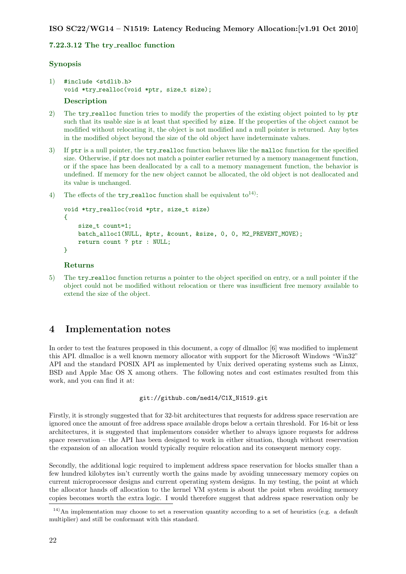## <span id="page-19-0"></span>7.22.3.12 The try\_realloc function

## Synopsis

- 1) #include <stdlib.h> void \*try\_realloc(void \*ptr, size\_t size); **Description**
- 2) The try realloc function tries to modify the properties of the existing object pointed to by ptr such that its usable size is at least that specified by size. If the properties of the object cannot be modified without relocating it, the object is not modified and a null pointer is returned. Any bytes in the modified object beyond the size of the old object have indeterminate values.
- 3) If ptr is a null pointer, the try-realloc function behaves like the malloc function for the specified size. Otherwise, if ptr does not match a pointer earlier returned by a memory management function, or if the space has been deallocated by a call to a memory management function, the behavior is undefined. If memory for the new object cannot be allocated, the old object is not deallocated and its value is unchanged.
- 4) The effects of the  $try\_realloc$  function shall be equivalent to<sup>[14\)](#page-19-2)</sup>:

```
void *try_realloc(void *ptr, size_t size)
{
    size_t count=1;
   batch_alloc1(NULL, &ptr, &count, &size, 0, 0, M2_PREVENT_MOVE);
   return count ? ptr : NULL;
}
```
## Returns

5) The try realloc function returns a pointer to the object specified on entry, or a null pointer if the object could not be modified without relocation or there was insufficient free memory available to extend the size of the object.

## <span id="page-19-1"></span>4 Implementation notes

In order to test the features proposed in this document, a copy of dlmalloc [\[6\]](#page-21-5) was modified to implement this API. dlmalloc is a well known memory allocator with support for the Microsoft Windows "Win32" API and the standard POSIX API as implemented by Unix derived operating systems such as Linux, BSD and Apple Mac OS X among others. The following notes and cost estimates resulted from this work, and you can find it at:

### [git://github.com/ned14/C1X\\_N1519.git](git://github.com/ned14/C1X_N1519.git)

Firstly, it is strongly suggested that for 32-bit architectures that requests for address space reservation are ignored once the amount of free address space available drops below a certain threshold. For 16-bit or less architectures, it is suggested that implementors consider whether to always ignore requests for address space reservation – the API has been designed to work in either situation, though without reservation the expansion of an allocation would typically require relocation and its consequent memory copy.

Secondly, the additional logic required to implement address space reservation for blocks smaller than a few hundred kilobytes isn't currently worth the gains made by avoiding unnecessary memory copies on current microprocessor designs and current operating system designs. In my testing, the point at which the allocator hands off allocation to the kernel VM system is about the point when avoiding memory copies becomes worth the extra logic. I would therefore suggest that address space reservation only be

<span id="page-19-2"></span><sup>14)</sup>An implementation may choose to set a reservation quantity according to a set of heuristics (e.g. a default multiplier) and still be conformant with this standard.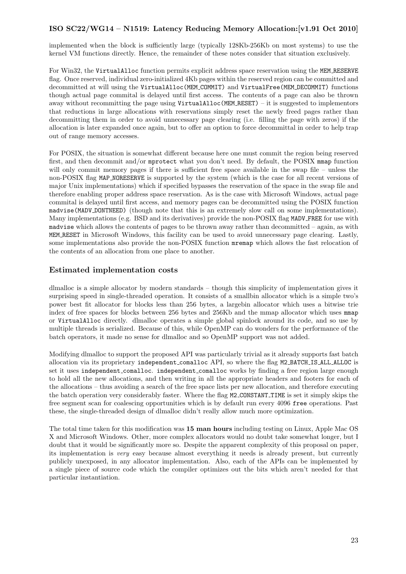implemented when the block is sufficiently large (typically 128Kb-256Kb on most systems) to use the kernel VM functions directly. Hence, the remainder of these notes consider that situation exclusively.

For Win32, the VirtualAlloc function permits explicit address space reservation using the MEM RESERVE flag. Once reserved, individual zero-initialized 4Kb pages within the reserved region can be committed and decommitted at will using the VirtualAlloc(MEM COMMIT) and VirtualFree(MEM DECOMMIT) functions though actual page commital is delayed until first access. The contents of a page can also be thrown away without recommitting the page using VirtualAlloc(MEM RESET) – it is suggested to implementors that reductions in large allocations with reservations simply reset the newly freed pages rather than decommitting them in order to avoid unnecessary page clearing (i.e. filling the page with zeros) if the allocation is later expanded once again, but to offer an option to force decommittal in order to help trap out of range memory accesses.

For POSIX, the situation is somewhat different because here one must commit the region being reserved first, and then decommit and/or mprotect what you don't need. By default, the POSIX mmap function will only commit memory pages if there is sufficient free space available in the swap file – unless the non-POSIX flag MAP NORESERVE is supported by the system (which is the case for all recent versions of major Unix implementations) which if specified bypasses the reservation of the space in the swap file and therefore enabling proper address space reservation. As is the case with Microsoft Windows, actual page commital is delayed until first access, and memory pages can be decommitted using the POSIX function madvise(MADV DONTNEED) (though note that this is an extremely slow call on some implementations). Many implementations (e.g. BSD and its derivatives) provide the non-POSIX flag MADV FREE for use with madvise which allows the contents of pages to be thrown away rather than decommitted – again, as with MEM RESET in Microsoft Windows, this facility can be used to avoid unnecessary page clearing. Lastly, some implementations also provide the non-POSIX function mremap which allows the fast relocation of the contents of an allocation from one place to another.

## <span id="page-20-0"></span>Estimated implementation costs

dlmalloc is a simple allocator by modern standards – though this simplicity of implementation gives it surprising speed in single-threaded operation. It consists of a smallbin allocator which is a simple two's power best fit allocator for blocks less than 256 bytes, a largebin allocator which uses a bitwise trie index of free spaces for blocks between 256 bytes and 256Kb and the mmap allocator which uses mmap or VirtualAlloc directly. dlmalloc operates a simple global spinlock around its code, and so use by multiple threads is serialized. Because of this, while OpenMP can do wonders for the performance of the batch operators, it made no sense for dlmalloc and so OpenMP support was not added.

Modifying dlmalloc to support the proposed API was particularly trivial as it already supports fast batch allocation via its proprietary independent comalloc API, so where the flag M2 BATCH IS ALL ALLOC is set it uses independent comalloc. independent comalloc works by finding a free region large enough to hold all the new allocations, and then writing in all the appropriate headers and footers for each of the allocations – thus avoiding a search of the free space lists per new allocation, and therefore executing the batch operation very considerably faster. Where the flag M2 CONSTANT TIME is set it simply skips the free segment scan for coalescing opportunities which is by default run every 4096 free operations. Past these, the single-threaded design of dlmalloc didn't really allow much more optimization.

The total time taken for this modification was 15 man hours including testing on Linux, Apple Mac OS X and Microsoft Windows. Other, more complex allocators would no doubt take somewhat longer, but I doubt that it would be significantly more so. Despite the apparent complexity of this proposal on paper, its implementation is very easy because almost everything it needs is already present, but currently publicly unexposed, in any allocator implementation. Also, each of the APIs can be implemented by a single piece of source code which the compiler optimizes out the bits which aren't needed for that particular instantiation.